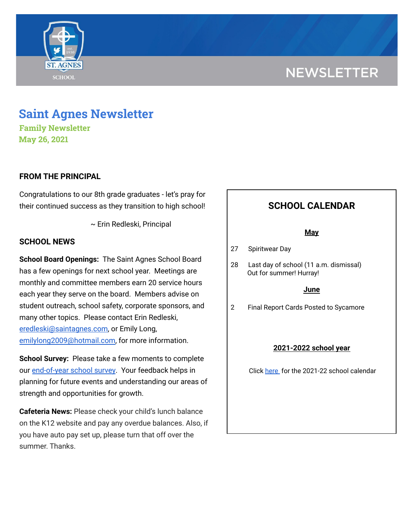

# **NEWSLETTER**

## **Saint Agnes Newsletter**

**Family Newsletter May 26, 2021**

### **FROM THE PRINCIPAL**

Congratulations to our 8th grade graduates - let's pray for their continued success as they transition to high school!

~ Erin Redleski, Principal

#### **SCHOOL NEWS**

**School Board Openings:** The Saint Agnes School Board has a few openings for next school year. Meetings are monthly and committee members earn 20 service hours each year they serve on the board. Members advise on student outreach, school safety, corporate sponsors, and many other topics. Please contact Erin Redleski, [eredleski@saintagnes.com,](mailto:eredleski@saintagnes.com) or Emily Long, [emilylong2009@hotmail.com,](mailto:emilylong2009@hotmail.com) for more information.

**School Survey:** Please take a few moments to complete our [end-of-year](https://www.surveymonkey.com/r/StAParentSurvey0520) school survey. Your feedback helps in planning for future events and understanding our areas of strength and opportunities for growth.

**Cafeteria News:** Please check your child's lunch balance on the K12 website and pay any overdue balances. Also, if you have auto pay set up, please turn that off over the summer. Thanks.

### **SCHOOL CALENDAR**

#### **May**

27 Spiritwear Day

28 Last day of school (11 a.m. dismissal) Out for summer! Hurray!

#### **June**

2 Final Report Cards Posted to Sycamore

#### **2021-2022 school year**

Click [here](https://school.saintagnes.com/wp-content/uploads/2021/02/2021-2022-School-Calendar-Parents.pdf) for the 2021-22 school calendar